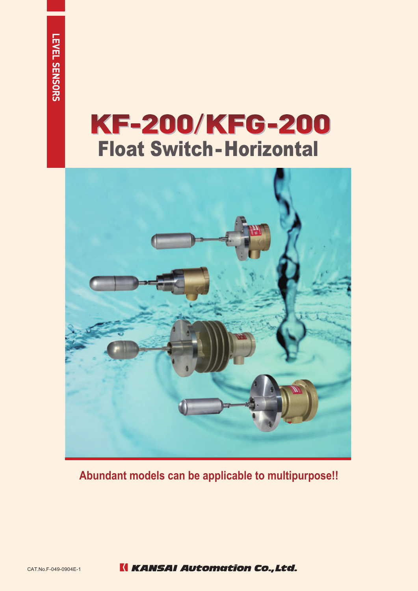## KF-200/KFG-200 Float Switch-Horizontal



**Abundant models can be applicable to multipurpose!!**

**K KANSAI Automation Co., Ltd.**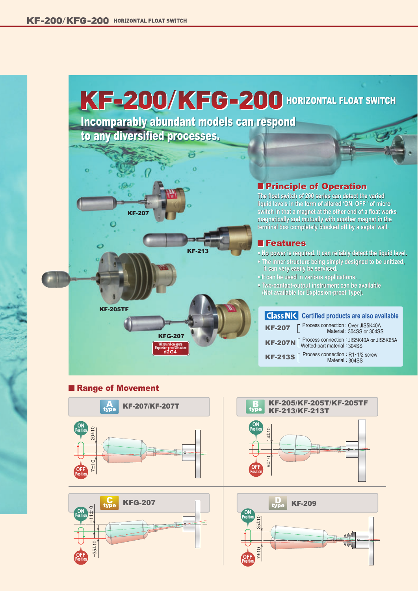# KF-200/KFG-200 HORIZONTAL FLOAT SWITCH

Incomparably abundant models can respond to any diversified processes. Incomparably abundant models can respond to any diversified processes.



## **Principle of Operation**

**The float switch of 200 series can detect the varied liquid levels in the form of altered 'ON, OFF ' of micro switch in that a magnet at the other end of a float works magnetically and mutually with another magnet in the terminal box completely blocked off by a septal wall. terminal box completely blocked off by a septal wall.** The float switch of 200 series can detect the varied<br>liquid levels in the form of altered 'ON, OFF ' of micro<br>switch in that a magnet at the other end of a float works<br>magnetically and mutually with another magnet in the

### **Features**

**● No power is required. It can reliably detect the liquid level. ● The inner structure being simply designed to be unitized, it can very easily be serviced.**

- **● It can be used in various applications.**
- **● Two-contact-output instrument can be available (Not available for Explosion-proof Type).**

#### KF-207 KF-207N  $\left[$  Process connection : JIS5K40A or JIS5K65A<br>
Wetted-part material : 304SS **KF-213S**  $\left[\begin{array}{c}$  Process connection : R1 · 1/2 screw **is Class NK** Certified products are also available Process connection nnection : Over JIS5K40A<br>Material : 304SS or 304S : 304SS or 304SS Wetted-part material

Material: 304SS

### **■ Range of Movement**





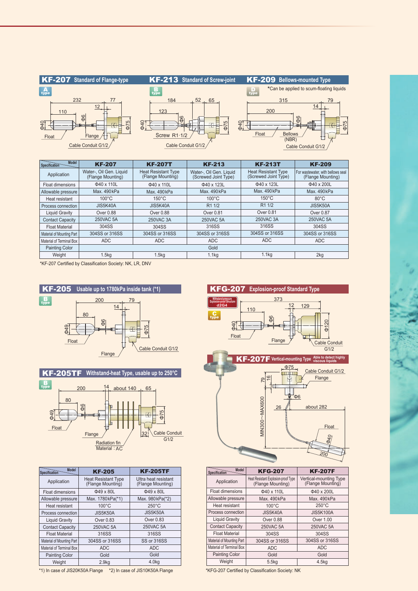

| Model<br>Specification    | <b>KF-207</b>                                | <b>KF-207T</b>                                  | <b>KF-213</b>                                   | <b>KF-213T</b>                                     | <b>KF-209</b>                                          |
|---------------------------|----------------------------------------------|-------------------------------------------------|-------------------------------------------------|----------------------------------------------------|--------------------------------------------------------|
| Application               | Water-, Oil Gen, Liquid<br>(Flange Mounting) | <b>Heat Resistant Type</b><br>(Flange Mounting) | Water-, Oil Gen. Liquid<br>(Screwed Joint Type) | <b>Heat Resistant Type</b><br>(Screwed Joint Type) | For wastewater, with bellows seal<br>(Flange Mounting) |
| Float dimensions          | Φ40 x 110L                                   | Φ40 x 110L                                      | Φ40 x 123L                                      | Φ40 x 123L                                         | Φ40 x 200L                                             |
| Allowable pressure        | Max. 490 kPa                                 | Max. 490kPa                                     | Max. 490kPa                                     | Max. 490 kPa                                       | Max. 490 kPa                                           |
| Heat resistant            | $100^{\circ}$ C                              | $150^{\circ}$ C                                 | $100^{\circ}$ C                                 | $150^{\circ}$ C                                    | $80^{\circ}$ C                                         |
| Process connection        | JIS5K40A                                     | JIS5K40A                                        | R <sub>1</sub> 1/2                              | R1 1/2                                             | JIS5K50A                                               |
| Liquid Gravity            | Over 0.88                                    | Over 0.88                                       | Over 0.81                                       | Over 0.81                                          | Over 0.87                                              |
| <b>Contact Capacity</b>   | 250VAC 5A                                    | 250VAC 3A                                       | 250VAC 5A                                       | 250VAC 3A                                          | 250VAC 5A                                              |
| <b>Float Material</b>     | 304SS                                        | 304SS                                           | 316SS                                           | 316SS                                              | 304SS                                                  |
| Material of Mounting Part | 304SS or 316SS                               | 304SS or 316SS                                  | 304SS or 316SS                                  | 304SS or 316SS                                     | 304SS or 316SS                                         |
| Material of Terminal Box  | ADC                                          | ADC                                             | ADC                                             | <b>ADC</b>                                         | <b>ADC</b>                                             |
| <b>Painting Color</b>     | Gold                                         |                                                 |                                                 |                                                    |                                                        |
| Weight                    | 1.5kq                                        | 1.5 <sub>kq</sub>                               | 1.1 <sub>kq</sub>                               | 1.1 <sub>kq</sub>                                  | 2kg                                                    |

\*KF-207 Certified by Classification Society: NK, LR, DNV







| <b>Model</b><br>Specification | <b>KF-205</b>                                   | <b>KF-205TF</b>                           |  |
|-------------------------------|-------------------------------------------------|-------------------------------------------|--|
| Application                   | <b>Heat Resistant Type</b><br>(Flange Mounting) | Ultra heat resistant<br>(Flange Mounting) |  |
| Float dimensions              | Φ49 x 80L                                       | Φ49 x 80L                                 |  |
| Allowable pressure            | Max. 1780kPa(*1)                                | Max. 980kPa(*2)                           |  |
| Heat resistant                | $100^{\circ}$ C                                 | $250^{\circ}$ C                           |  |
| Process connection            | <b>JIS5K50A</b>                                 | JIS5K50A                                  |  |
| <b>Liquid Gravity</b>         | Over 0.83                                       | Over 0.83                                 |  |
| <b>Contact Capacity</b>       | 250VAC 5A                                       | 250VAC 5A                                 |  |
| <b>Float Material</b>         | 316SS                                           | 316SS                                     |  |
| Material of Mounting Part     | 304SS or 316SS                                  | SS or 316SS                               |  |
| Material of Terminal Box      | <b>ADC</b>                                      | <b>ADC</b>                                |  |
| Painting Color                | Gold                                            | Gold                                      |  |
| Weight                        | 2.9 <sub>ka</sub>                               | 4.0 <sub>kq</sub>                         |  |

\*1) In case of JIS20K50A Flange \*2) In case of JIS10K50A Flange



| <b>KF-205</b>                      | <b>KF-205TF</b>                           | Model<br>Specification    | <b>KFG-207</b>                                           | <b>KF-207F</b>                              |
|------------------------------------|-------------------------------------------|---------------------------|----------------------------------------------------------|---------------------------------------------|
| t Resistant Type<br>ange Mounting) | Ultra heat resistant<br>(Flange Mounting) | Application               | Heat Resistant Explosion-proof Type<br>(Flange Mounting) | Vertical-mounting Type<br>(Flange Mounting) |
| $\Phi$ 49 x 80L                    | Φ49 x 80L                                 | Float dimensions          | Φ40 x 110L                                               | Φ40 x 200L                                  |
| x. 1780kPa(*1)                     | Max. 980kPa(*2)                           | Allowable pressure        | Max. 490 kPa                                             | Max. 490 kPa                                |
| $100^{\circ}$ C                    | $250^{\circ}$ C                           | Heat resistant            | $100^{\circ}$ C                                          | $250^{\circ}$ C                             |
| <b>JIS5K50A</b>                    | JIS5K50A                                  | Process connection        | JIS5K40A                                                 | <b>JIS5K100A</b>                            |
| Over 0.83                          | Over 0.83                                 | <b>Liquid Gravity</b>     | Over 0.88                                                | Over 1.00                                   |
| 250VAC 5A                          | 250VAC 5A                                 | <b>Contact Capacity</b>   | 250VAC 5A                                                | 250VAC 5A                                   |
| 316SS                              | 316SS                                     | <b>Float Material</b>     | 304SS                                                    | 304SS                                       |
| 4SS or 316SS                       | SS or 316SS                               | Material of Mounting Part | 304SS or 316SS                                           | 304SS or 316SS                              |
| <b>ADC</b>                         | ADC                                       | Material of Terminal Box  | <b>ADC</b>                                               | <b>ADC</b>                                  |
| Gold                               | Gold                                      | <b>Painting Color</b>     | Gold                                                     | Gold                                        |
| 2.9 <sub>kq</sub>                  | 4.0 <sub>kq</sub>                         | Weight                    | 5.5 <sub>kq</sub>                                        | 4.5kg                                       |
|                                    |                                           |                           |                                                          |                                             |

\*KFG-207 Certified by Classification Society: NK